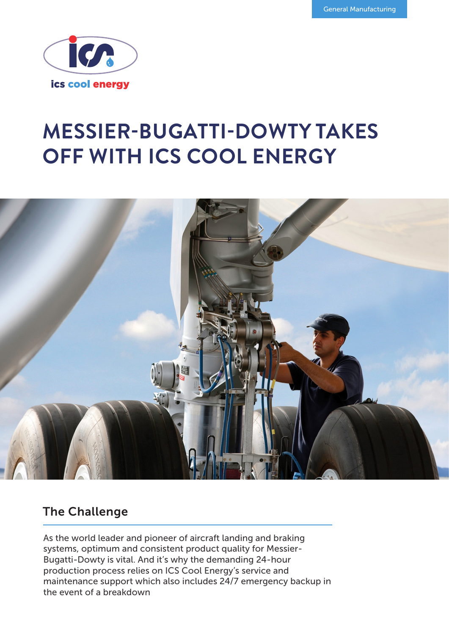

# **MESSIER-BUGATTI-DOWTY TAKES OFF WITH ICS COOL ENERGY**



## The Challenge

As the world leader and pioneer of aircraft landing and braking systems, optimum and consistent product quality for Messier-Bugatti-Dowty is vital. And it's why the demanding 24-hour production process relies on ICS Cool Energy's service and maintenance support which also includes 24/7 emergency backup in the event of a breakdown